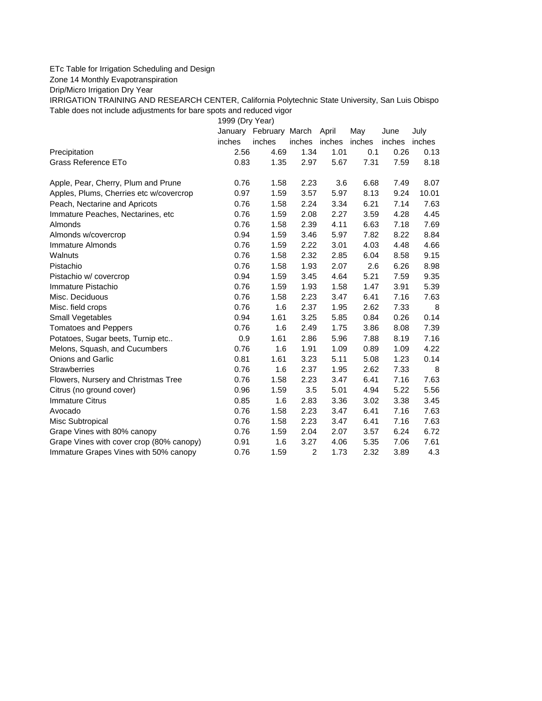## ETc Table for Irrigation Scheduling and Design

Zone 14 Monthly Evapotranspiration

Drip/Micro Irrigation Dry Year

IRRIGATION TRAINING AND RESEARCH CENTER, California Polytechnic State University, San Luis Obispo Table does not include adjustments for bare spots and reduced vigor

1999 (Dry Year)

|                                          |        | January February March |                | April         | May  | June   | July   |
|------------------------------------------|--------|------------------------|----------------|---------------|------|--------|--------|
|                                          | inches | inches                 | inches         | inches inches |      | inches | inches |
| Precipitation                            | 2.56   | 4.69                   | 1.34           | 1.01          | 0.1  | 0.26   | 0.13   |
| Grass Reference ETo                      | 0.83   | 1.35                   | 2.97           | 5.67          | 7.31 | 7.59   | 8.18   |
| Apple, Pear, Cherry, Plum and Prune      | 0.76   | 1.58                   | 2.23           | 3.6           | 6.68 | 7.49   | 8.07   |
| Apples, Plums, Cherries etc w/covercrop  | 0.97   | 1.59                   | 3.57           | 5.97          | 8.13 | 9.24   | 10.01  |
| Peach, Nectarine and Apricots            | 0.76   | 1.58                   | 2.24           | 3.34          | 6.21 | 7.14   | 7.63   |
| Immature Peaches, Nectarines, etc        | 0.76   | 1.59                   | 2.08           | 2.27          | 3.59 | 4.28   | 4.45   |
| Almonds                                  | 0.76   | 1.58                   | 2.39           | 4.11          | 6.63 | 7.18   | 7.69   |
| Almonds w/covercrop                      | 0.94   | 1.59                   | 3.46           | 5.97          | 7.82 | 8.22   | 8.84   |
| Immature Almonds                         | 0.76   | 1.59                   | 2.22           | 3.01          | 4.03 | 4.48   | 4.66   |
| Walnuts                                  | 0.76   | 1.58                   | 2.32           | 2.85          | 6.04 | 8.58   | 9.15   |
| Pistachio                                | 0.76   | 1.58                   | 1.93           | 2.07          | 2.6  | 6.26   | 8.98   |
| Pistachio w/ covercrop                   | 0.94   | 1.59                   | 3.45           | 4.64          | 5.21 | 7.59   | 9.35   |
| Immature Pistachio                       | 0.76   | 1.59                   | 1.93           | 1.58          | 1.47 | 3.91   | 5.39   |
| Misc. Deciduous                          | 0.76   | 1.58                   | 2.23           | 3.47          | 6.41 | 7.16   | 7.63   |
| Misc. field crops                        | 0.76   | 1.6                    | 2.37           | 1.95          | 2.62 | 7.33   | 8      |
| Small Vegetables                         | 0.94   | 1.61                   | 3.25           | 5.85          | 0.84 | 0.26   | 0.14   |
| <b>Tomatoes and Peppers</b>              | 0.76   | 1.6                    | 2.49           | 1.75          | 3.86 | 8.08   | 7.39   |
| Potatoes, Sugar beets, Turnip etc        | 0.9    | 1.61                   | 2.86           | 5.96          | 7.88 | 8.19   | 7.16   |
| Melons, Squash, and Cucumbers            | 0.76   | 1.6                    | 1.91           | 1.09          | 0.89 | 1.09   | 4.22   |
| <b>Onions and Garlic</b>                 | 0.81   | 1.61                   | 3.23           | 5.11          | 5.08 | 1.23   | 0.14   |
| <b>Strawberries</b>                      | 0.76   | 1.6                    | 2.37           | 1.95          | 2.62 | 7.33   | 8      |
| Flowers, Nursery and Christmas Tree      | 0.76   | 1.58                   | 2.23           | 3.47          | 6.41 | 7.16   | 7.63   |
| Citrus (no ground cover)                 | 0.96   | 1.59                   | 3.5            | 5.01          | 4.94 | 5.22   | 5.56   |
| <b>Immature Citrus</b>                   | 0.85   | 1.6                    | 2.83           | 3.36          | 3.02 | 3.38   | 3.45   |
| Avocado                                  | 0.76   | 1.58                   | 2.23           | 3.47          | 6.41 | 7.16   | 7.63   |
| Misc Subtropical                         | 0.76   | 1.58                   | 2.23           | 3.47          | 6.41 | 7.16   | 7.63   |
| Grape Vines with 80% canopy              | 0.76   | 1.59                   | 2.04           | 2.07          | 3.57 | 6.24   | 6.72   |
| Grape Vines with cover crop (80% canopy) | 0.91   | 1.6                    | 3.27           | 4.06          | 5.35 | 7.06   | 7.61   |
| Immature Grapes Vines with 50% canopy    | 0.76   | 1.59                   | $\overline{c}$ | 1.73          | 2.32 | 3.89   | 4.3    |